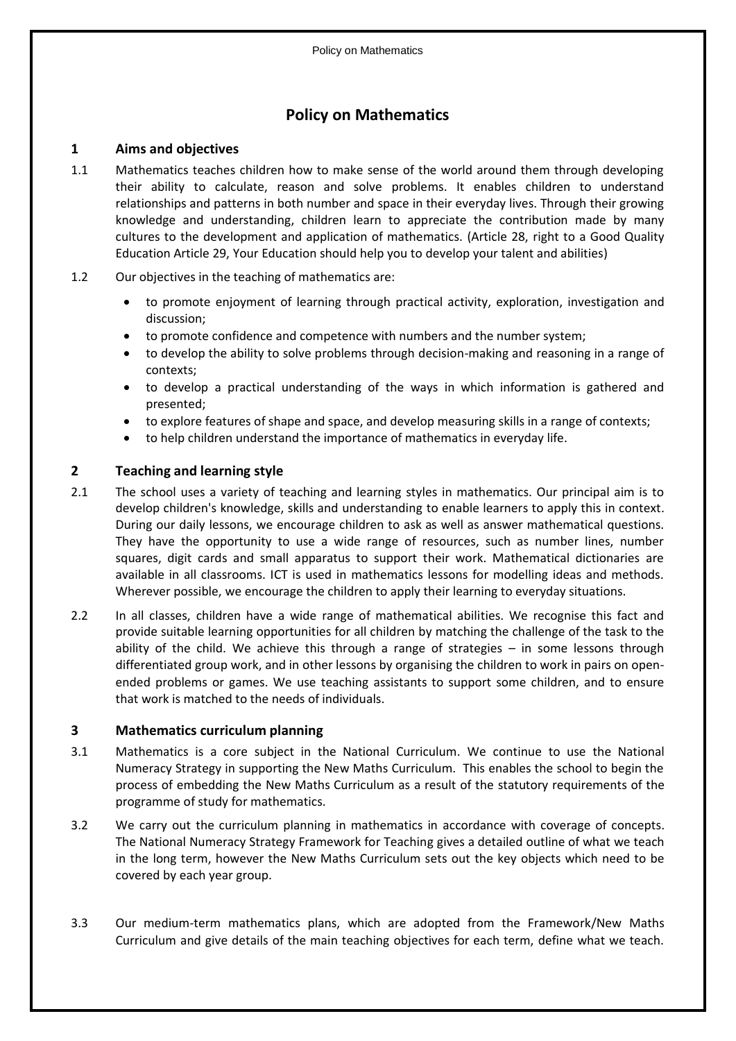### **Policy on Mathematics**

#### **1 Aims and objectives**

- 1.1 Mathematics teaches children how to make sense of the world around them through developing their ability to calculate, reason and solve problems. It enables children to understand relationships and patterns in both number and space in their everyday lives. Through their growing knowledge and understanding, children learn to appreciate the contribution made by many cultures to the development and application of mathematics. (Article 28, right to a Good Quality Education Article 29, Your Education should help you to develop your talent and abilities)
- 1.2 Our objectives in the teaching of mathematics are:
	- to promote enjoyment of learning through practical activity, exploration, investigation and discussion;
	- to promote confidence and competence with numbers and the number system;
	- to develop the ability to solve problems through decision-making and reasoning in a range of contexts;
	- to develop a practical understanding of the ways in which information is gathered and presented;
	- to explore features of shape and space, and develop measuring skills in a range of contexts;
	- to help children understand the importance of mathematics in everyday life.

#### **2 Teaching and learning style**

- 2.1 The school uses a variety of teaching and learning styles in mathematics. Our principal aim is to develop children's knowledge, skills and understanding to enable learners to apply this in context. During our daily lessons, we encourage children to ask as well as answer mathematical questions. They have the opportunity to use a wide range of resources, such as number lines, number squares, digit cards and small apparatus to support their work. Mathematical dictionaries are available in all classrooms. ICT is used in mathematics lessons for modelling ideas and methods. Wherever possible, we encourage the children to apply their learning to everyday situations.
- 2.2 In all classes, children have a wide range of mathematical abilities. We recognise this fact and provide suitable learning opportunities for all children by matching the challenge of the task to the ability of the child. We achieve this through a range of strategies – in some lessons through differentiated group work, and in other lessons by organising the children to work in pairs on openended problems or games. We use teaching assistants to support some children, and to ensure that work is matched to the needs of individuals.

#### **3 Mathematics curriculum planning**

- 3.1 Mathematics is a core subject in the National Curriculum. We continue to use the National Numeracy Strategy in supporting the New Maths Curriculum. This enables the school to begin the process of embedding the New Maths Curriculum as a result of the statutory requirements of the programme of study for mathematics.
- 3.2 We carry out the curriculum planning in mathematics in accordance with coverage of concepts. The National Numeracy Strategy Framework for Teaching gives a detailed outline of what we teach in the long term, however the New Maths Curriculum sets out the key objects which need to be covered by each year group.
- 3.3 Our medium-term mathematics plans, which are adopted from the Framework/New Maths Curriculum and give details of the main teaching objectives for each term, define what we teach.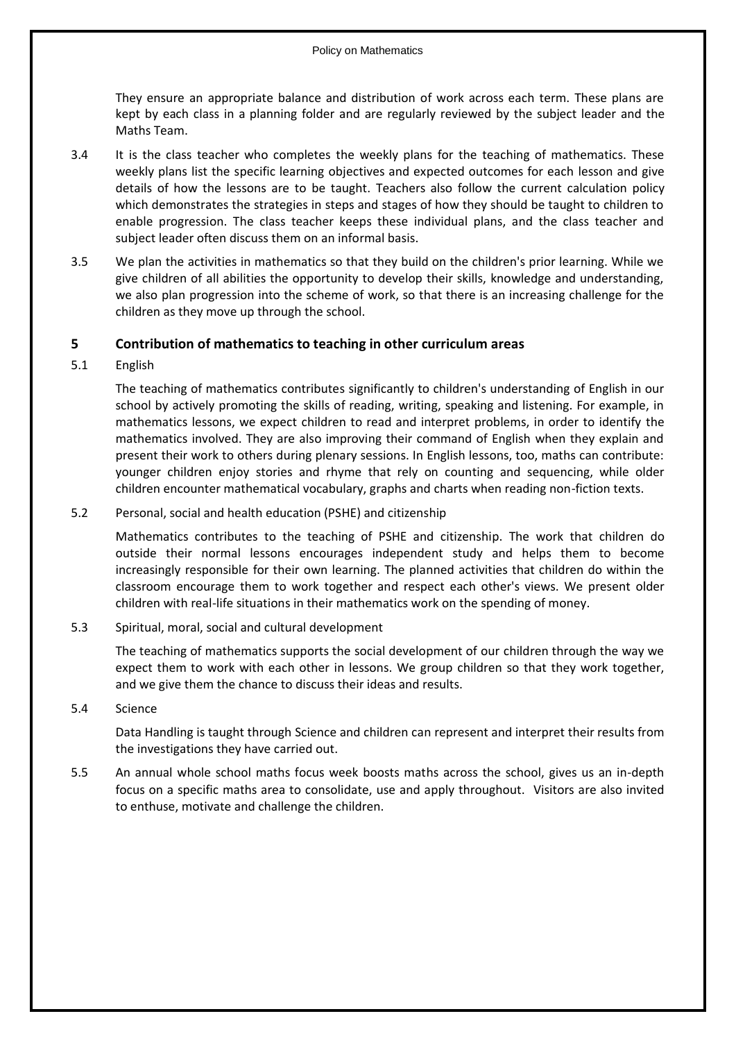They ensure an appropriate balance and distribution of work across each term. These plans are kept by each class in a planning folder and are regularly reviewed by the subject leader and the Maths Team.

- 3.4 It is the class teacher who completes the weekly plans for the teaching of mathematics. These weekly plans list the specific learning objectives and expected outcomes for each lesson and give details of how the lessons are to be taught. Teachers also follow the current calculation policy which demonstrates the strategies in steps and stages of how they should be taught to children to enable progression. The class teacher keeps these individual plans, and the class teacher and subject leader often discuss them on an informal basis.
- 3.5 We plan the activities in mathematics so that they build on the children's prior learning. While we give children of all abilities the opportunity to develop their skills, knowledge and understanding, we also plan progression into the scheme of work, so that there is an increasing challenge for the children as they move up through the school.

#### **5 Contribution of mathematics to teaching in other curriculum areas**

5.1 English

The teaching of mathematics contributes significantly to children's understanding of English in our school by actively promoting the skills of reading, writing, speaking and listening. For example, in mathematics lessons, we expect children to read and interpret problems, in order to identify the mathematics involved. They are also improving their command of English when they explain and present their work to others during plenary sessions. In English lessons, too, maths can contribute: younger children enjoy stories and rhyme that rely on counting and sequencing, while older children encounter mathematical vocabulary, graphs and charts when reading non-fiction texts.

5.2 Personal, social and health education (PSHE) and citizenship

Mathematics contributes to the teaching of PSHE and citizenship. The work that children do outside their normal lessons encourages independent study and helps them to become increasingly responsible for their own learning. The planned activities that children do within the classroom encourage them to work together and respect each other's views. We present older children with real-life situations in their mathematics work on the spending of money.

5.3 Spiritual, moral, social and cultural development

The teaching of mathematics supports the social development of our children through the way we expect them to work with each other in lessons. We group children so that they work together, and we give them the chance to discuss their ideas and results.

5.4 Science

Data Handling is taught through Science and children can represent and interpret their results from the investigations they have carried out.

5.5 An annual whole school maths focus week boosts maths across the school, gives us an in-depth focus on a specific maths area to consolidate, use and apply throughout. Visitors are also invited to enthuse, motivate and challenge the children.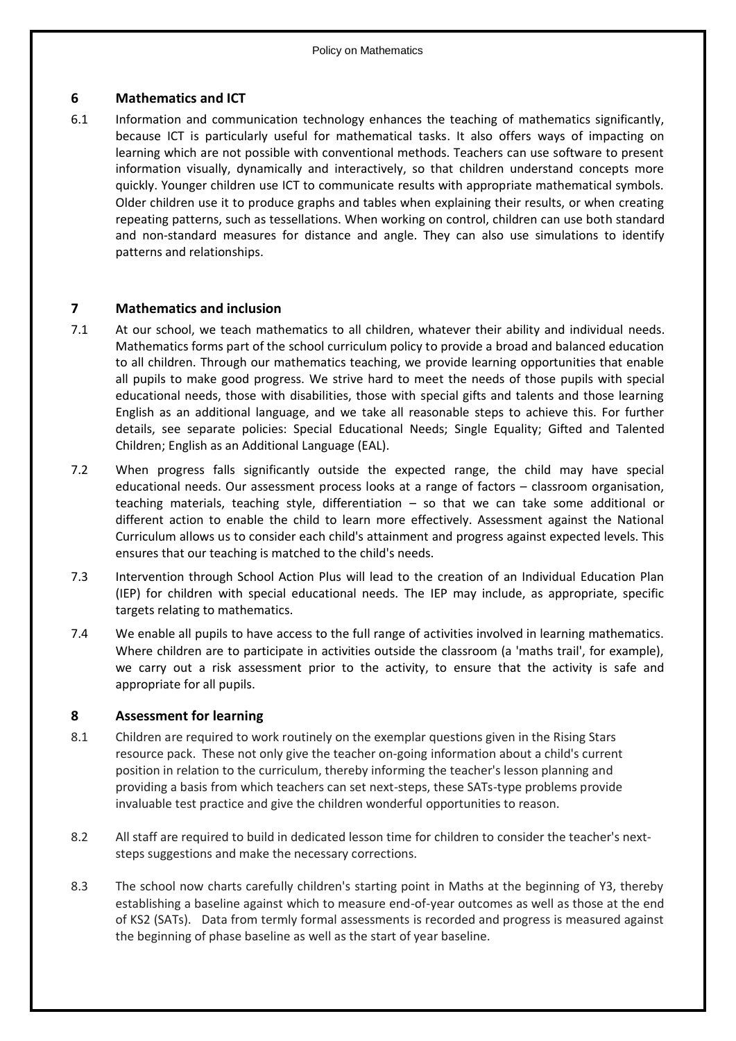#### **6 Mathematics and ICT**

6.1 Information and communication technology enhances the teaching of mathematics significantly, because ICT is particularly useful for mathematical tasks. It also offers ways of impacting on learning which are not possible with conventional methods. Teachers can use software to present information visually, dynamically and interactively, so that children understand concepts more quickly. Younger children use ICT to communicate results with appropriate mathematical symbols. Older children use it to produce graphs and tables when explaining their results, or when creating repeating patterns, such as tessellations. When working on control, children can use both standard and non-standard measures for distance and angle. They can also use simulations to identify patterns and relationships.

#### **7 Mathematics and inclusion**

- 7.1 At our school, we teach mathematics to all children, whatever their ability and individual needs. Mathematics forms part of the school curriculum policy to provide a broad and balanced education to all children. Through our mathematics teaching, we provide learning opportunities that enable all pupils to make good progress. We strive hard to meet the needs of those pupils with special educational needs, those with disabilities, those with special gifts and talents and those learning English as an additional language, and we take all reasonable steps to achieve this. For further details, see separate policies: Special Educational Needs; Single Equality; Gifted and Talented Children; English as an Additional Language (EAL).
- 7.2 When progress falls significantly outside the expected range, the child may have special educational needs. Our assessment process looks at a range of factors – classroom organisation, teaching materials, teaching style, differentiation – so that we can take some additional or different action to enable the child to learn more effectively. Assessment against the National Curriculum allows us to consider each child's attainment and progress against expected levels. This ensures that our teaching is matched to the child's needs.
- 7.3 Intervention through School Action Plus will lead to the creation of an Individual Education Plan (IEP) for children with special educational needs. The IEP may include, as appropriate, specific targets relating to mathematics.
- 7.4 We enable all pupils to have access to the full range of activities involved in learning mathematics. Where children are to participate in activities outside the classroom (a 'maths trail', for example), we carry out a risk assessment prior to the activity, to ensure that the activity is safe and appropriate for all pupils.

#### **8 Assessment for learning**

- 8.1 Children are required to work routinely on the exemplar questions given in the Rising Stars resource pack. These not only give the teacher on-going information about a child's current position in relation to the curriculum, thereby informing the teacher's lesson planning and providing a basis from which teachers can set next-steps, these SATs-type problems provide invaluable test practice and give the children wonderful opportunities to reason.
- 8.2 All staff are required to build in dedicated lesson time for children to consider the teacher's nextsteps suggestions and make the necessary corrections.
- 8.3 The school now charts carefully children's starting point in Maths at the beginning of Y3, thereby establishing a baseline against which to measure end-of-year outcomes as well as those at the end of KS2 (SATs). Data from termly formal assessments is recorded and progress is measured against the beginning of phase baseline as well as the start of year baseline.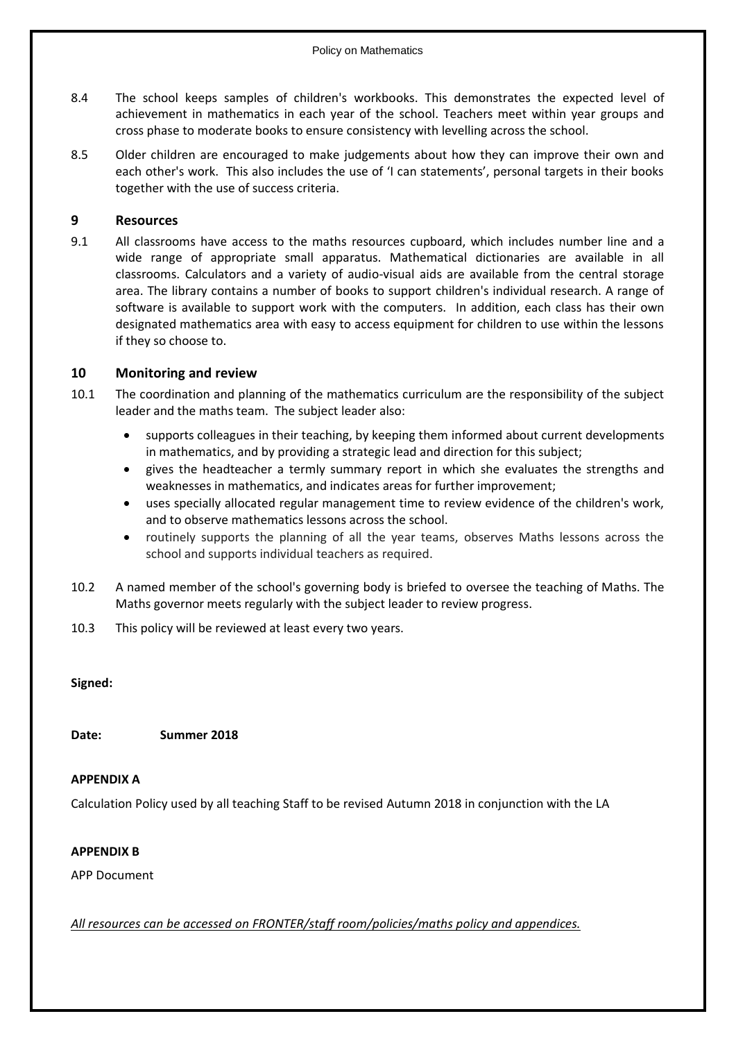- 8.4 The school keeps samples of children's workbooks. This demonstrates the expected level of achievement in mathematics in each year of the school. Teachers meet within year groups and cross phase to moderate books to ensure consistency with levelling across the school.
- 8.5 Older children are encouraged to make judgements about how they can improve their own and each other's work. This also includes the use of 'I can statements', personal targets in their books together with the use of success criteria.

#### **9 Resources**

9.1 All classrooms have access to the maths resources cupboard, which includes number line and a wide range of appropriate small apparatus. Mathematical dictionaries are available in all classrooms. Calculators and a variety of audio-visual aids are available from the central storage area. The library contains a number of books to support children's individual research. A range of software is available to support work with the computers. In addition, each class has their own designated mathematics area with easy to access equipment for children to use within the lessons if they so choose to.

#### **10 Monitoring and review**

- 10.1 The coordination and planning of the mathematics curriculum are the responsibility of the subject leader and the maths team. The subject leader also:
	- supports colleagues in their teaching, by keeping them informed about current developments in mathematics, and by providing a strategic lead and direction for this subject;
	- gives the headteacher a termly summary report in which she evaluates the strengths and weaknesses in mathematics, and indicates areas for further improvement;
	- uses specially allocated regular management time to review evidence of the children's work, and to observe mathematics lessons across the school.
	- routinely supports the planning of all the year teams, observes Maths lessons across the school and supports individual teachers as required.
- 10.2 A named member of the school's governing body is briefed to oversee the teaching of Maths. The Maths governor meets regularly with the subject leader to review progress.
- 10.3 This policy will be reviewed at least every two years.

**Signed:**

**Date: Summer 2018**

#### **APPENDIX A**

Calculation Policy used by all teaching Staff to be revised Autumn 2018 in conjunction with the LA

#### **APPENDIX B**

APP Document

*All resources can be accessed on FRONTER/staff room/policies/maths policy and appendices.*